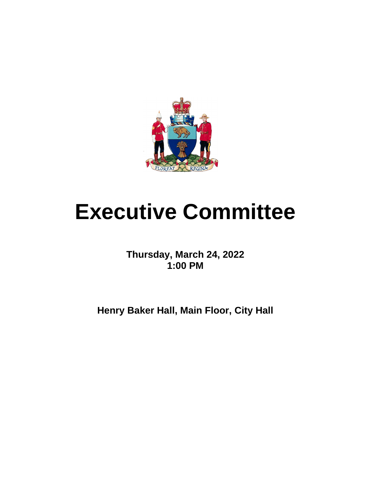

# **Executive Committee**

**Thursday, March 24, 2022 1:00 PM**

**Henry Baker Hall, Main Floor, City Hall**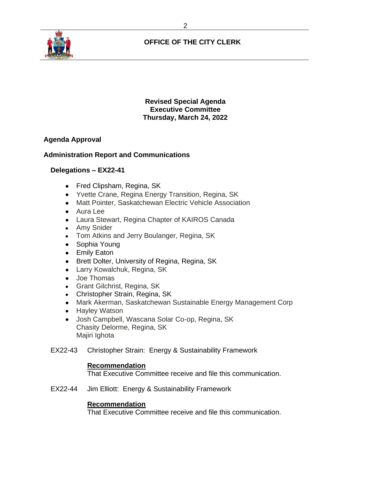

# **OFFICE OF THE CITY CLERK**

**Revised Special Agenda Executive Committee Thursday, March 24, 2022**

# **Agenda Approval**

# **Administration Report and Communications**

## **Delegations – EX22-41**

- Fred Clipsham, Regina, SK
- Yvette Crane, Regina Energy Transition, Regina, SK
- Matt Pointer, Saskatchewan Electric Vehicle Association
- Aura Lee
- Laura Stewart, Regina Chapter of KAIROS Canada
- Amy Snider
- Tom Atkins and Jerry Boulanger, Regina, SK
- Sophia Young
- Emily Eaton
- Brett Dolter, University of Regina, Regina, SK
- Larry Kowalchuk, Regina, SK
- Joe Thomas
- Grant Gilchrist, Regina, SK
- Christopher Strain, Regina, SK
- Mark Akerman, Saskatchewan Sustainable Energy Management Corp
- Hayley Watson
- Josh Campbell, Wascana Solar Co-op, Regina, SK Chasity Delorme, Regina, SK Majiri Ighota
- EX22-43 Christopher Strain: Energy & Sustainability Framework

#### **Recommendation**

That Executive Committee receive and file this communication.

EX22-44 Jim Elliott: Energy & Sustainability Framework

#### **Recommendation**

That Executive Committee receive and file this communication.